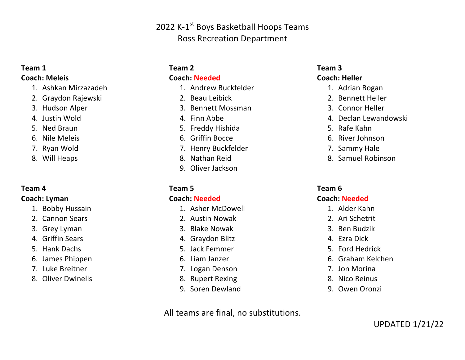# 2022 K-1<sup>st</sup> Boys Basketball Hoops Teams Ross Recreation Department

#### **Team 1**

#### **Coach: Meleis**

- 1. Ashkan Mirzazadeh
- 2. Graydon Rajewski
- 3. Hudson Alper
- 4. Justin Wold
- 5. Ned Braun
- 6. Nile Meleis
- 7. Ryan Wold
- 8. Will Heaps

#### **Team 4**

#### **Coach: Lyman**

- 1. Bobby Hussain
- 2. Cannon Sears
- 3. Grey Lyman
- 4. Griffin Sears
- 5. Hank Dachs
- 6. James Phippen
- 7. Luke Breitner
- 8. Oliver Dwinells

## **Team 2**

#### **Coach: Needed**

- 1. Andrew Buckfelder
- 2. Beau Leibick
- 3. Bennett Mossman
- 4. Finn Abbe
- 5. Freddy Hishida
- 6. Griffin Bocce
- 7. Henry Buckfelder
- 8. Nathan Reid
- 9. Oliver Jackson

## **Team 5**

#### **Coach: Needed**

- 1. Asher McDowell
- 2. Austin Nowak
- 3. Blake Nowak
- 4. Graydon Blitz
- 5. Jack Femmer
- 6. Liam Janzer
- 7. Logan Denson
- 8. Rupert Rexing
- 9. Soren Dewland

All teams are final, no substitutions.

#### **Team 3 Coach: Heller**

- 1. Adrian Bogan
- 2. Bennett Heller
- 3. Connor Heller
- 4. Declan Lewandowski
- 5. Rafe Kahn
- 6. River Johnson
- 7. Sammy Hale
- 8. Samuel Robinson

## **Team 6**

## **Coach: Needed**

- 1. Alder Kahn
- 2. Ari Schetrit
- 3. Ben Budzik
- 4. Ezra Dick
- 5. Ford Hedrick
- 6. Graham Kelchen
- 7. Jon Morina
- 8. Nico Reinus
- 9. Owen Oronzi